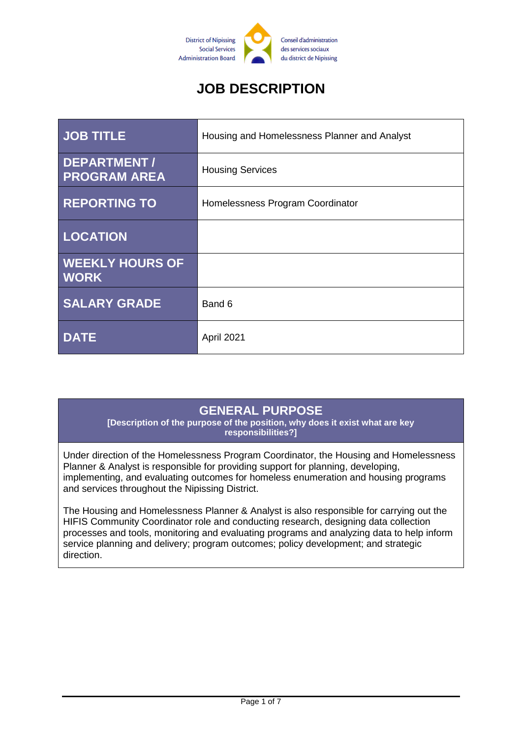

# **JOB DESCRIPTION**

| <b>JOB TITLE</b>                          | Housing and Homelessness Planner and Analyst |
|-------------------------------------------|----------------------------------------------|
| <b>DEPARTMENT/</b><br><b>PROGRAM AREA</b> | <b>Housing Services</b>                      |
| <b>REPORTING TO</b>                       | Homelessness Program Coordinator             |
| <b>LOCATION</b>                           |                                              |
| <b>WEEKLY HOURS OF</b><br><b>WORK</b>     |                                              |
| <b>SALARY GRADE</b>                       | Band 6                                       |
| <b>DATE</b>                               | April 2021                                   |

## **GENERAL PURPOSE**

**[Description of the purpose of the position, why does it exist what are key responsibilities?]**

Under direction of the Homelessness Program Coordinator, the Housing and Homelessness Planner & Analyst is responsible for providing support for planning, developing, implementing, and evaluating outcomes for homeless enumeration and housing programs and services throughout the Nipissing District.

The Housing and Homelessness Planner & Analyst is also responsible for carrying out the HIFIS Community Coordinator role and conducting research, designing data collection processes and tools, monitoring and evaluating programs and analyzing data to help inform service planning and delivery; program outcomes; policy development; and strategic direction.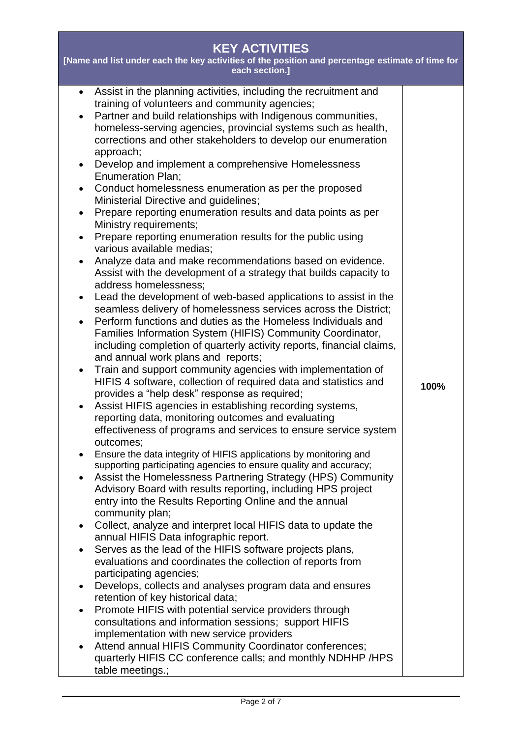| <b>KEY ACTIVITIES</b><br>[Name and list under each the key activities of the position and percentage estimate of time for<br>each section.] |                                                                                                                                                                                                                                                                                                                                                                                                                                                                                                                                                                                                                                                                                                                                                                                                                                                                                                                                                                                                                                                                                                                                                                                                                                                                                                                                                                                                                                                                                                                                                                                                                                                                                                                                                                                                                                                                                                                                                                                                                                                                                                                                                                                                                                                                                                                                                                                                                                                                                                                                                                                                                                                                                |      |
|---------------------------------------------------------------------------------------------------------------------------------------------|--------------------------------------------------------------------------------------------------------------------------------------------------------------------------------------------------------------------------------------------------------------------------------------------------------------------------------------------------------------------------------------------------------------------------------------------------------------------------------------------------------------------------------------------------------------------------------------------------------------------------------------------------------------------------------------------------------------------------------------------------------------------------------------------------------------------------------------------------------------------------------------------------------------------------------------------------------------------------------------------------------------------------------------------------------------------------------------------------------------------------------------------------------------------------------------------------------------------------------------------------------------------------------------------------------------------------------------------------------------------------------------------------------------------------------------------------------------------------------------------------------------------------------------------------------------------------------------------------------------------------------------------------------------------------------------------------------------------------------------------------------------------------------------------------------------------------------------------------------------------------------------------------------------------------------------------------------------------------------------------------------------------------------------------------------------------------------------------------------------------------------------------------------------------------------------------------------------------------------------------------------------------------------------------------------------------------------------------------------------------------------------------------------------------------------------------------------------------------------------------------------------------------------------------------------------------------------------------------------------------------------------------------------------------------------|------|
| $\bullet$<br>$\bullet$<br>$\bullet$<br>$\bullet$<br>$\bullet$<br>$\bullet$<br>$\bullet$<br>٠<br>٠<br>٠<br>٠<br>$\bullet$<br>$\bullet$       | Assist in the planning activities, including the recruitment and<br>training of volunteers and community agencies;<br>Partner and build relationships with Indigenous communities,<br>homeless-serving agencies, provincial systems such as health,<br>corrections and other stakeholders to develop our enumeration<br>approach;<br>Develop and implement a comprehensive Homelessness<br><b>Enumeration Plan;</b><br>Conduct homelessness enumeration as per the proposed<br>Ministerial Directive and guidelines;<br>Prepare reporting enumeration results and data points as per<br>Ministry requirements;<br>Prepare reporting enumeration results for the public using<br>various available medias;<br>Analyze data and make recommendations based on evidence.<br>Assist with the development of a strategy that builds capacity to<br>address homelessness:<br>Lead the development of web-based applications to assist in the<br>seamless delivery of homelessness services across the District;<br>Perform functions and duties as the Homeless Individuals and<br>Families Information System (HIFIS) Community Coordinator,<br>including completion of quarterly activity reports, financial claims,<br>and annual work plans and reports;<br>Train and support community agencies with implementation of<br>HIFIS 4 software, collection of required data and statistics and<br>provides a "help desk" response as required;<br>Assist HIFIS agencies in establishing recording systems,<br>reporting data, monitoring outcomes and evaluating<br>effectiveness of programs and services to ensure service system<br>outcomes;<br>Ensure the data integrity of HIFIS applications by monitoring and<br>supporting participating agencies to ensure quality and accuracy;<br>Assist the Homelessness Partnering Strategy (HPS) Community<br>Advisory Board with results reporting, including HPS project<br>entry into the Results Reporting Online and the annual<br>community plan;<br>Collect, analyze and interpret local HIFIS data to update the<br>annual HIFIS Data infographic report.<br>Serves as the lead of the HIFIS software projects plans,<br>evaluations and coordinates the collection of reports from<br>participating agencies;<br>Develops, collects and analyses program data and ensures<br>retention of key historical data;<br>Promote HIFIS with potential service providers through<br>consultations and information sessions; support HIFIS<br>implementation with new service providers<br>Attend annual HIFIS Community Coordinator conferences;<br>quarterly HIFIS CC conference calls; and monthly NDHHP /HPS<br>table meetings.; | 100% |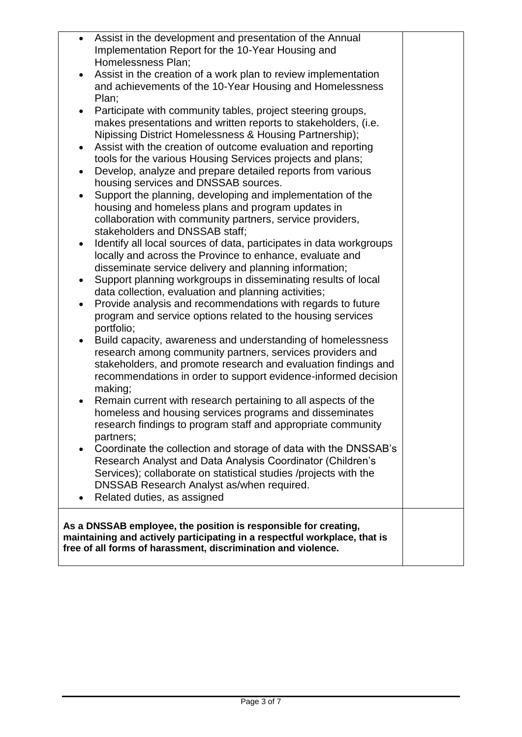| $\bullet$                                                                                                                                                                                                     | Assist in the development and presentation of the Annual<br>Implementation Report for the 10-Year Housing and |  |
|---------------------------------------------------------------------------------------------------------------------------------------------------------------------------------------------------------------|---------------------------------------------------------------------------------------------------------------|--|
|                                                                                                                                                                                                               | Homelessness Plan;                                                                                            |  |
| $\bullet$                                                                                                                                                                                                     | Assist in the creation of a work plan to review implementation                                                |  |
|                                                                                                                                                                                                               | and achievements of the 10-Year Housing and Homelessness                                                      |  |
|                                                                                                                                                                                                               | Plan;                                                                                                         |  |
| $\bullet$                                                                                                                                                                                                     | Participate with community tables, project steering groups,                                                   |  |
|                                                                                                                                                                                                               | makes presentations and written reports to stakeholders, (i.e.                                                |  |
|                                                                                                                                                                                                               | Nipissing District Homelessness & Housing Partnership);                                                       |  |
| $\bullet$                                                                                                                                                                                                     | Assist with the creation of outcome evaluation and reporting                                                  |  |
|                                                                                                                                                                                                               |                                                                                                               |  |
|                                                                                                                                                                                                               | tools for the various Housing Services projects and plans;                                                    |  |
| $\bullet$                                                                                                                                                                                                     | Develop, analyze and prepare detailed reports from various                                                    |  |
|                                                                                                                                                                                                               | housing services and DNSSAB sources.                                                                          |  |
|                                                                                                                                                                                                               | Support the planning, developing and implementation of the                                                    |  |
|                                                                                                                                                                                                               | housing and homeless plans and program updates in                                                             |  |
|                                                                                                                                                                                                               | collaboration with community partners, service providers,                                                     |  |
|                                                                                                                                                                                                               | stakeholders and DNSSAB staff;                                                                                |  |
| ٠                                                                                                                                                                                                             | Identify all local sources of data, participates in data workgroups                                           |  |
|                                                                                                                                                                                                               | locally and across the Province to enhance, evaluate and                                                      |  |
|                                                                                                                                                                                                               | disseminate service delivery and planning information;                                                        |  |
|                                                                                                                                                                                                               | Support planning workgroups in disseminating results of local                                                 |  |
|                                                                                                                                                                                                               | data collection, evaluation and planning activities;                                                          |  |
|                                                                                                                                                                                                               | Provide analysis and recommendations with regards to future                                                   |  |
| $\bullet$                                                                                                                                                                                                     |                                                                                                               |  |
|                                                                                                                                                                                                               | program and service options related to the housing services                                                   |  |
|                                                                                                                                                                                                               | portfolio;                                                                                                    |  |
| $\bullet$                                                                                                                                                                                                     | Build capacity, awareness and understanding of homelessness                                                   |  |
|                                                                                                                                                                                                               | research among community partners, services providers and                                                     |  |
|                                                                                                                                                                                                               | stakeholders, and promote research and evaluation findings and                                                |  |
|                                                                                                                                                                                                               | recommendations in order to support evidence-informed decision                                                |  |
|                                                                                                                                                                                                               | making;                                                                                                       |  |
|                                                                                                                                                                                                               | Remain current with research pertaining to all aspects of the                                                 |  |
|                                                                                                                                                                                                               | homeless and housing services programs and disseminates                                                       |  |
|                                                                                                                                                                                                               | research findings to program staff and appropriate community                                                  |  |
|                                                                                                                                                                                                               | partners;                                                                                                     |  |
| $\bullet$                                                                                                                                                                                                     | Coordinate the collection and storage of data with the DNSSAB's                                               |  |
|                                                                                                                                                                                                               | Research Analyst and Data Analysis Coordinator (Children's                                                    |  |
|                                                                                                                                                                                                               | Services); collaborate on statistical studies /projects with the                                              |  |
|                                                                                                                                                                                                               | DNSSAB Research Analyst as/when required.                                                                     |  |
|                                                                                                                                                                                                               | Related duties, as assigned                                                                                   |  |
|                                                                                                                                                                                                               |                                                                                                               |  |
| As a DNSSAB employee, the position is responsible for creating,<br>maintaining and actively participating in a respectful workplace, that is<br>free of all forms of harassment, discrimination and violence. |                                                                                                               |  |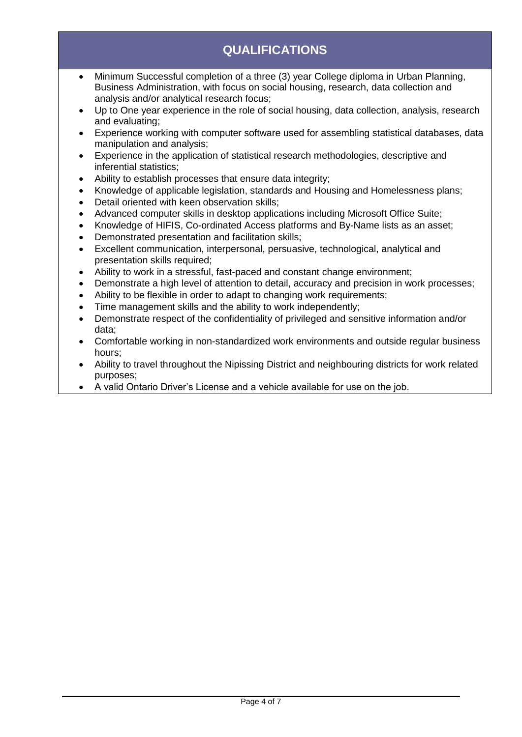## **QUALIFICATIONS**

- Minimum Successful completion of a three (3) year College diploma in Urban Planning, Business Administration, with focus on social housing, research, data collection and analysis and/or analytical research focus;
- Up to One year experience in the role of social housing, data collection, analysis, research and evaluating;
- Experience working with computer software used for assembling statistical databases, data manipulation and analysis;
- Experience in the application of statistical research methodologies, descriptive and inferential statistics;
- Ability to establish processes that ensure data integrity;
- Knowledge of applicable legislation, standards and Housing and Homelessness plans;
- Detail oriented with keen observation skills;
- Advanced computer skills in desktop applications including Microsoft Office Suite;
- Knowledge of HIFIS, Co-ordinated Access platforms and By-Name lists as an asset;
- Demonstrated presentation and facilitation skills;
- Excellent communication, interpersonal, persuasive, technological, analytical and presentation skills required;
- Ability to work in a stressful, fast-paced and constant change environment;
- Demonstrate a high level of attention to detail, accuracy and precision in work processes;
- Ability to be flexible in order to adapt to changing work requirements;
- Time management skills and the ability to work independently;
- Demonstrate respect of the confidentiality of privileged and sensitive information and/or data;
- Comfortable working in non-standardized work environments and outside regular business hours;
- Ability to travel throughout the Nipissing District and neighbouring districts for work related purposes;
- A valid Ontario Driver's License and a vehicle available for use on the job.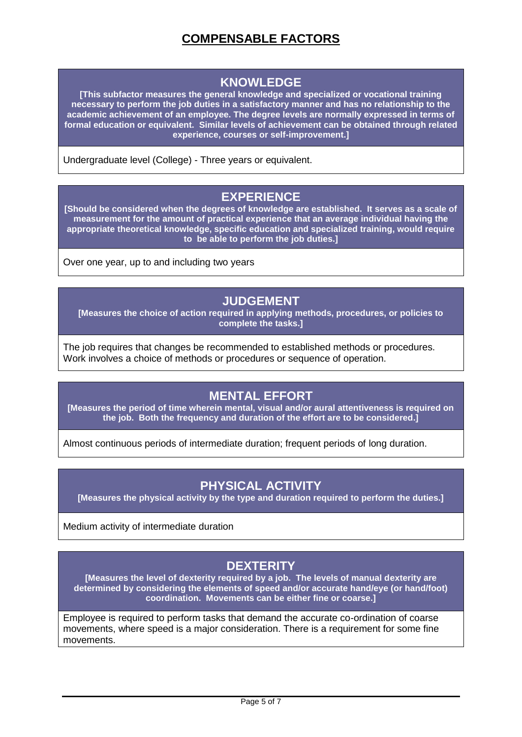## **COMPENSABLE FACTORS**

#### **KNOWLEDGE**

**[This subfactor measures the general knowledge and specialized or vocational training necessary to perform the job duties in a satisfactory manner and has no relationship to the academic achievement of an employee. The degree levels are normally expressed in terms of formal education or equivalent. Similar levels of achievement can be obtained through related experience, courses or self-improvement.]**

Undergraduate level (College) - Three years or equivalent.

#### **EXPERIENCE**

**[Should be considered when the degrees of knowledge are established. It serves as a scale of measurement for the amount of practical experience that an average individual having the appropriate theoretical knowledge, specific education and specialized training, would require to be able to perform the job duties.]**

Over one year, up to and including two years

## **JUDGEMENT**

**[Measures the choice of action required in applying methods, procedures, or policies to complete the tasks.]**

The job requires that changes be recommended to established methods or procedures. Work involves a choice of methods or procedures or sequence of operation.

#### **MENTAL EFFORT**

**[Measures the period of time wherein mental, visual and/or aural attentiveness is required on the job. Both the frequency and duration of the effort are to be considered.]**

Almost continuous periods of intermediate duration; frequent periods of long duration.

## **PHYSICAL ACTIVITY**

**[Measures the physical activity by the type and duration required to perform the duties.]**

Medium activity of intermediate duration

#### **DEXTERITY**

**[Measures the level of dexterity required by a job. The levels of manual dexterity are determined by considering the elements of speed and/or accurate hand/eye (or hand/foot) coordination. Movements can be either fine or coarse.]**

Employee is required to perform tasks that demand the accurate co-ordination of coarse movements, where speed is a major consideration. There is a requirement for some fine movements.